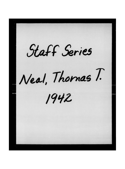Staff Series Neal, Thomas T. 1942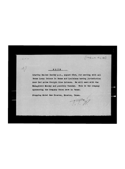**NOT E** 

**Leaving Dallas Sunday p.m., August 23rd, for meeting with all Texas Local Unions in Texas and Louisiana having Jurisdiction 6ver Red Arrow Freight Line Drivers. We will meet with the Management Monday and possibly Tuesday. This is the company sponsoring the Company Union here in Texas.** 

 $T\widetilde{T}$ 

 $[1942, aute 449.23]$ 

ľ

**Stopping Hotel Sam Houston, Houston, Texas.**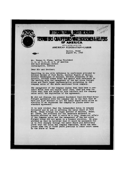

**Mr. Thomas E. Flynn, Acting President I. B. of T.,C.,W. & H. of America 222 East Michigan Street Indianapolis, Indiana** 

**Dear Sir and Brother:** 

**Reporting to you with reference to conference attended by Brother Derden of Fort Worth, Brother Rogers of Dallas, Brother Pendergast of Houston, Brother Alexander of San Antonio, Brother Frank Prohl and myself with reference to the meeting with the management of the Red Arrow Freight Lines and their legal representative pertaining to the company union of the above mentioned truck company.** 

**The management of the Company claims that they have a contract which does not expire until June, 1943 and they believe that they are bound by this contract and the company union until the expiration of the agreement.** 

**We did not discuss the present Southwest Over-the-Road Motor Freight Agreement with the company due to the fact that we were not sure whether or not the Labor Board would allow an election if we requested the company be placed under our standard agreement.** 

**It is very evident that the Independent Union is company dominated and we are so advising the Labor Board at Fort Worth, Texas through our legal advisor of Houston, Texas. Mr. Conba, the attorney for the Teamsters movement in Houston,advised ua that it would be a long, drawn-out affair if the company union and the management of the Red Arrow Freight Lines did not agree to a consent election. He also advised ua that he believed that it would be necessary for ua to file chargea through the Labor Board and definitely prove that the union waa company dominated, which haa been proven some two or three years previous in other court caaea in the State of Texas**